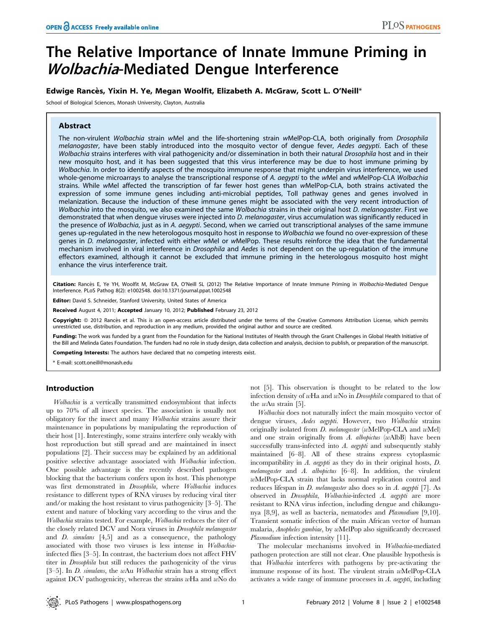# The Relative Importance of Innate Immune Priming in Wolbachia-Mediated Dengue Interference

## Edwige Rancès, Yixin H. Ye, Megan Woolfit, Elizabeth A. McGraw, Scott L. O'Neill\*

School of Biological Sciences, Monash University, Clayton, Australia

## Abstract

The non-virulent Wolbachia strain wMel and the life-shortening strain wMelPop-CLA, both originally from Drosophila melanogaster, have been stably introduced into the mosquito vector of dengue fever, Aedes aegypti. Each of these Wolbachia strains interferes with viral pathogenicity and/or dissemination in both their natural Drosophila host and in their new mosquito host, and it has been suggested that this virus interference may be due to host immune priming by Wolbachia. In order to identify aspects of the mosquito immune response that might underpin virus interference, we used whole-genome microarrays to analyse the transcriptional response of A. aegypti to the wMel and wMelPop-CLA Wolbachia strains. While wMel affected the transcription of far fewer host genes than wMelPop-CLA, both strains activated the expression of some immune genes including anti-microbial peptides, Toll pathway genes and genes involved in melanization. Because the induction of these immune genes might be associated with the very recent introduction of Wolbachia into the mosquito, we also examined the same Wolbachia strains in their original host D. melanogaster. First we demonstrated that when dengue viruses were injected into D. melanogaster, virus accumulation was significantly reduced in the presence of Wolbachia, just as in A. aegypti. Second, when we carried out transcriptional analyses of the same immune genes up-regulated in the new heterologous mosquito host in response to Wolbachia we found no over-expression of these genes in D. melanogaster, infected with either wMel or wMelPop. These results reinforce the idea that the fundamental mechanism involved in viral interference in Drosophila and Aedes is not dependent on the up-regulation of the immune effectors examined, although it cannot be excluded that immune priming in the heterologous mosquito host might enhance the virus interference trait.

Citation: Rancès E, Ye YH, Woolfit M, McGraw EA, O'Neill SL (2012) The Relative Importance of Innate Immune Priming in Wolbachia-Mediated Dengue Interference. PLoS Pathog 8(2): e1002548. doi:10.1371/journal.ppat.1002548

Editor: David S. Schneider, Stanford University, United States of America

Received August 4, 2011; Accepted January 10, 2012; Published February 23, 2012

Copyright: © 2012 Rancès et al. This is an open-access article distributed under the terms of the Creative Commons Attribution License, which permits unrestricted use, distribution, and reproduction in any medium, provided the original author and source are credited.

Funding: The work was funded by a grant from the Foundation for the National Institutes of Health through the Grant Challenges in Global Health Initiative of the Bill and Melinda Gates Foundation. The funders had no role in study design, data collection and analysis, decision to publish, or preparation of the manuscript.

Competing Interests: The authors have declared that no competing interests exist.

\* E-mail: scott.oneill@monash.edu

## Introduction

Wolbachia is a vertically transmitted endosymbiont that infects up to 70% of all insect species. The association is usually not obligatory for the insect and many Wolbachia strains assure their maintenance in populations by manipulating the reproduction of their host [1]. Interestingly, some strains interfere only weakly with host reproduction but still spread and are maintained in insect populations [2]. Their success may be explained by an additional positive selective advantage associated with Wolbachia infection. One possible advantage is the recently described pathogen blocking that the bacterium confers upon its host. This phenotype was first demonstrated in Drosophila, where Wolbachia induces resistance to different types of RNA viruses by reducing viral titer and/or making the host resistant to virus pathogenicity [3–5]. The extent and nature of blocking vary according to the virus and the Wolbachia strains tested. For example, Wolbachia reduces the titer of the closely related DCV and Nora viruses in *Drosophila melanogaster* and D. simulans [4,5] and as a consequence, the pathology associated with those two viruses is less intense in Wolbachiainfected flies [3–5]. In contrast, the bacterium does not affect FHV titer in Drosophila but still reduces the pathogenicity of the virus [3–5]. In *D. simulans*, the wAu *Wolbachia* strain has a strong effect against DCV pathogenicity, whereas the strains wHa and wNo do

not [5]. This observation is thought to be related to the low infection density of wHa and wNo in Drosophila compared to that of the wAu strain [5].

Wolbachia does not naturally infect the main mosquito vector of dengue viruses, Aedes aegypti. However, two Wolbachia strains originally isolated from *D. melanogaster* (wMelPop-CLA and wMel) and one strain originally from A. albopictus (wAlbB) have been successfully trans-infected into A. aegypti and subsequently stably maintained [6–8]. All of these strains express cytoplasmic incompatibility in A. aegypti as they do in their original hosts, D. melanogaster and A. albopictus [6-8]. In addition, the virulent wMelPop-CLA strain that lacks normal replication control and reduces lifespan in  $D$ . *melanogaster* also does so in  $A$ . *aegypti* [7]. As observed in Drosophila, Wolbachia-infected A. aegypti are more resistant to RNA virus infection, including dengue and chikungunya [8,9], as well as bacteria, nematodes and Plasmodium [9,10]. Transient somatic infection of the main African vector of human malaria, Anopheles gambiae, by wMelPop also significantly decreased Plasmodium infection intensity [11].

The molecular mechanisms involved in Wolbachia-mediated pathogen protection are still not clear. One plausible hypothesis is that Wolbachia interferes with pathogens by pre-activating the immune response of its host. The virulent strain wMelPop-CLA activates a wide range of immune processes in A. aegypti, including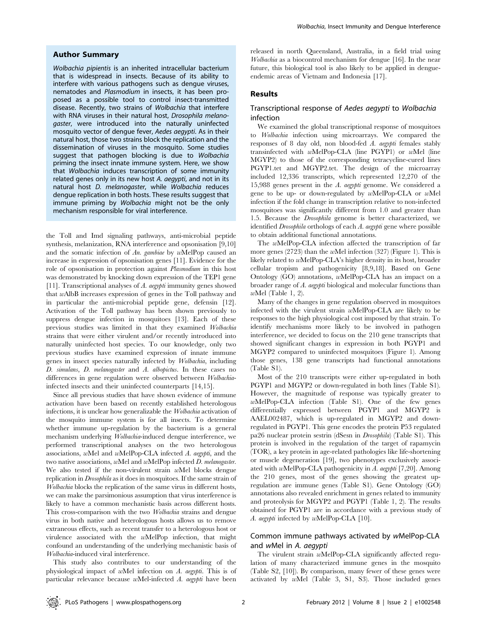### Author Summary

Wolbachia pipientis is an inherited intracellular bacterium that is widespread in insects. Because of its ability to interfere with various pathogens such as dengue viruses, nematodes and Plasmodium in insects, it has been proposed as a possible tool to control insect-transmitted disease. Recently, two strains of Wolbachia that interfere with RNA viruses in their natural host, Drosophila melanogaster, were introduced into the naturally uninfected mosquito vector of dengue fever, Aedes aegypti. As in their natural host, those two strains block the replication and the dissemination of viruses in the mosquito. Some studies suggest that pathogen blocking is due to Wolbachia priming the insect innate immune system. Here, we show that Wolbachia induces transcription of some immunity related genes only in its new host A. aegypti, and not in its natural host D. melanogaster, while Wolbachia reduces dengue replication in both hosts. These results suggest that immune priming by Wolbachia might not be the only mechanism responsible for viral interference.

the Toll and Imd signaling pathways, anti-microbial peptide synthesis, melanization, RNA interference and opsonisation [9,10] and the somatic infection of An. gambiae by wMelPop caused an increase in expression of opsonisation genes [11]. Evidence for the role of opsonisation in protection against Plasmodium in this host was demonstrated by knocking down expression of the TEP1 gene [11]. Transcriptional analyses of A. aegypti immunity genes showed that wAlbB increases expression of genes in the Toll pathway and in particular the anti-microbial peptide gene, defensin [12]. Activation of the Toll pathway has been shown previously to suppress dengue infection in mosquitoes [13]. Each of these previous studies was limited in that they examined Wolbachia strains that were either virulent and/or recently introduced into naturally uninfected host species. To our knowledge, only two previous studies have examined expression of innate immune genes in insect species naturally infected by Wolbachia, including D. simulans, D. melanogaster and A. albopictus. In these cases no differences in gene regulation were observed between Wolbachiainfected insects and their uninfected counterparts [14,15].

Since all previous studies that have shown evidence of immune activation have been based on recently established heterologous infections, it is unclear how generalizable the Wolbachia activation of the mosquito immune system is for all insects. To determine whether immune up-regulation by the bacterium is a general mechanism underlying Wolbachia-induced dengue interference, we performed transcriptional analyses on the two heterologous associations, wMel and wMelPop-CLA infected A. aegypti, and the two native associations, wMel and wMelPop infected D. melanogaster. We also tested if the non-virulent strain wMel blocks dengue replication in Drosophila as it does in mosquitoes. If the same strain of Wolbachia blocks the replication of the same virus in different hosts, we can make the parsimonious assumption that virus interference is likely to have a common mechanistic basis across different hosts. This cross-comparison with the two Wolbachia strains and dengue virus in both native and heterologous hosts allows us to remove extraneous effects, such as recent transfer to a heterologous host or virulence associated with the wMelPop infection, that might confound an understanding of the underlying mechanistic basis of Wolbachia-induced viral interference.

This study also contributes to our understanding of the physiological impact of wMel infection on A. aegypti. This is of particular relevance because wMel-infected A. aegypti have been released in north Queensland, Australia, in a field trial using Wolbachia as a biocontrol mechanism for dengue [16]. In the near future, this biological tool is also likely to be applied in dengueendemic areas of Vietnam and Indonesia [17].

## Results

## Transcriptional response of Aedes aegypti to Wolbachia infection

We examined the global transcriptional response of mosquitoes to Wolbachia infection using microarrays. We compared the responses of 8 day old, non blood-fed A. aegypti females stably transinfected with wMelPop-CLA (line PGYP1) or wMel (line MGYP2) to those of the corresponding tetracycline-cured lines PGYP1.tet and MGYP2.tet. The design of the microarray included 12,336 transcripts, which represented 12,270 of the 15,988 genes present in the A. aegypti genome. We considered a gene to be up- or down-regulated by wMelPop-CLA or wMel infection if the fold change in transcription relative to non-infected mosquitoes was significantly different from 1.0 and greater than 1.5. Because the Drosophila genome is better characterized, we identified *Drosophila* orthologs of each A. aegypti gene where possible to obtain additional functional annotations.

The wMelPop-CLA infection affected the transcription of far more genes (2723) than the wMel infection (327) (Figure 1). This is likely related to wMelPop-CLA's higher density in its host, broader cellular tropism and pathogenicity [8,9,18]. Based on Gene Ontology (GO) annotations, wMelPop-CLA has an impact on a broader range of A. aegypti biological and molecular functions than wMel (Table 1, 2).

Many of the changes in gene regulation observed in mosquitoes infected with the virulent strain wMelPop-CLA are likely to be responses to the high physiological cost imposed by that strain. To identify mechanisms more likely to be involved in pathogen interference, we decided to focus on the 210 gene transcripts that showed significant changes in expression in both PGYP1 and MGYP2 compared to uninfected mosquitoes (Figure 1). Among those genes, 138 gene transcripts had functional annotations (Table S1).

Most of the 210 transcripts were either up-regulated in both PGYP1 and MGYP2 or down-regulated in both lines (Table S1). However, the magnitude of response was typically greater to wMelPop-CLA infection (Table S1). One of the few genes differentially expressed between PGYP1 and MGYP2 is AAEL002487, which is up-regulated in MGYP2 and downregulated in PGYP1. This gene encodes the protein P53 regulated pa26 nuclear protein sestrin (dSesn in Drosophila) (Table S1). This protein is involved in the regulation of the target of rapamycin (TOR), a key protein in age-related pathologies like life-shortening or muscle degeneration [19], two phenotypes exclusively associated with wMelPop-CLA pathogenicity in A. aegypti [7,20]. Among the 210 genes, most of the genes showing the greatest upregulation are immune genes (Table S1). Gene Ontology (GO) annotations also revealed enrichment in genes related to immunity and proteolysis for MGYP2 and PGYP1 (Table 1, 2). The results obtained for PGYP1 are in accordance with a previous study of A. aegypti infected by wMelPop-CLA [10].

## Common immune pathways activated by wMelPop-CLA and wMel in A. aegypti

The virulent strain wMelPop-CLA significantly affected regulation of many characterized immune genes in the mosquito (Table S2, [10]). By comparison, many fewer of these genes were activated by wMel (Table 3, S1, S3). Those included genes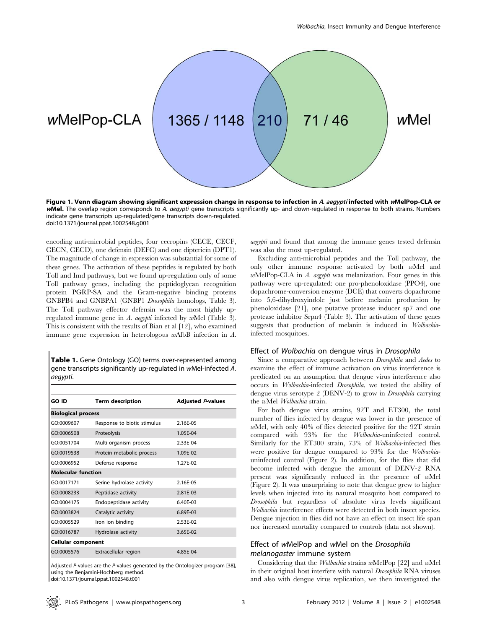

Figure 1. Venn diagram showing significant expression change in response to infection in A. aegypti infected with wMelPop-CLA or wMel. The overlap region corresponds to A. aegypti gene transcripts significantly up- and down-regulated in response to both strains. Numbers indicate gene transcripts up-regulated/gene transcripts down-regulated. doi:10.1371/journal.ppat.1002548.g001

encoding anti-microbial peptides, four cecropins (CECE, CECF, CECN, CECD), one defensin (DEFC) and one diptericin (DPT1). The magnitude of change in expression was substantial for some of these genes. The activation of these peptides is regulated by both Toll and Imd pathways, but we found up-regulation only of some Toll pathway genes, including the peptidoglycan recognition protein PGRP-SA and the Gram-negative binding proteins GNBPB4 and GNBPA1 (GNBP1 Drosophila homologs, Table 3). The Toll pathway effector defensin was the most highly upregulated immune gene in A. aegypti infected by wMel (Table 3). This is consistent with the results of Bian et al [12], who examined immune gene expression in heterologous wAlbB infection in A.

Table 1. Gene Ontology (GO) terms over-represented among gene transcripts significantly up-regulated in wMel-infected A. aegypti.

| GO ID                     | <b>Term description</b>     | Adjusted P-values |  |  |  |  |  |  |  |
|---------------------------|-----------------------------|-------------------|--|--|--|--|--|--|--|
| <b>Biological process</b> |                             |                   |  |  |  |  |  |  |  |
| GO:0009607                | Response to biotic stimulus | 2.16E-05          |  |  |  |  |  |  |  |
| GO:0006508                | Proteolysis                 | 1.05E-04          |  |  |  |  |  |  |  |
| GO:0051704                | Multi-organism process      | 2.33E-04          |  |  |  |  |  |  |  |
| GO:0019538                | Protein metabolic process   | 1.09E-02          |  |  |  |  |  |  |  |
| GO:0006952                | Defense response            | 1.27E-02          |  |  |  |  |  |  |  |
| <b>Molecular function</b> |                             |                   |  |  |  |  |  |  |  |
| GO:0017171                | Serine hydrolase activity   | 2.16E-05          |  |  |  |  |  |  |  |
| GO:0008233                | Peptidase activity          | 2.81E-03          |  |  |  |  |  |  |  |
| GO:0004175                | Endopeptidase activity      | 640F-03           |  |  |  |  |  |  |  |
| GO:0003824                | Catalytic activity          | 6.89E-03          |  |  |  |  |  |  |  |
| GO:0005529                | Iron ion binding            | 2.53F-02          |  |  |  |  |  |  |  |
| GO:0016787                | Hydrolase activity          | 3.65E-02          |  |  |  |  |  |  |  |
| <b>Cellular component</b> |                             |                   |  |  |  |  |  |  |  |
| GO:0005576                | Extracellular region        | 4.85E-04          |  |  |  |  |  |  |  |

Adjusted P-values are the P-values generated by the Ontologizer program [38], using the Benjamini-Hochberg method.

doi:10.1371/journal.ppat.1002548.t001

aegypti and found that among the immune genes tested defensin was also the most up-regulated.

Excluding anti-microbial peptides and the Toll pathway, the only other immune response activated by both wMel and  $w$ MelPop-CLA in A. aegypti was melanization. Four genes in this pathway were up-regulated: one pro-phenoloxidase (PPO4), one dopachrome-conversion enzyme (DCE) that converts dopachrome into 5,6-dihydroxyindole just before melanin production by phenoloxidase [21], one putative protease inducer sp7 and one protease inhibitor Srpn4 (Table 3). The activation of these genes suggests that production of melanin is induced in Wolbachiainfected mosquitoes.

#### Effect of Wolbachia on dengue virus in Drosophila

Since a comparative approach between Drosophila and Aedes to examine the effect of immune activation on virus interference is predicated on an assumption that dengue virus interference also occurs in Wolbachia-infected Drosophila, we tested the ability of dengue virus serotype 2 (DENV-2) to grow in Drosophila carrying the wMel Wolbachia strain.

For both dengue virus strains, 92T and ET300, the total number of flies infected by dengue was lower in the presence of wMel, with only 40% of flies detected positive for the 92T strain compared with 93% for the Wolbachia-uninfected control. Similarly for the ET300 strain, 73% of Wolbachia-infected flies were positive for dengue compared to 93% for the Wolbachiauninfected control (Figure 2). In addition, for the flies that did become infected with dengue the amount of DENV-2 RNA present was significantly reduced in the presence of wMel (Figure 2). It was unsurprising to note that dengue grew to higher levels when injected into its natural mosquito host compared to Drosophila but regardless of absolute virus levels significant Wolbachia interference effects were detected in both insect species. Dengue injection in flies did not have an effect on insect life span nor increased mortality compared to controls (data not shown).

## Effect of wMelPop and wMel on the Drosophila melanogaster immune system

Considering that the Wolbachia strains wMelPop [22] and wMel in their original host interfere with natural Drosophila RNA viruses and also with dengue virus replication, we then investigated the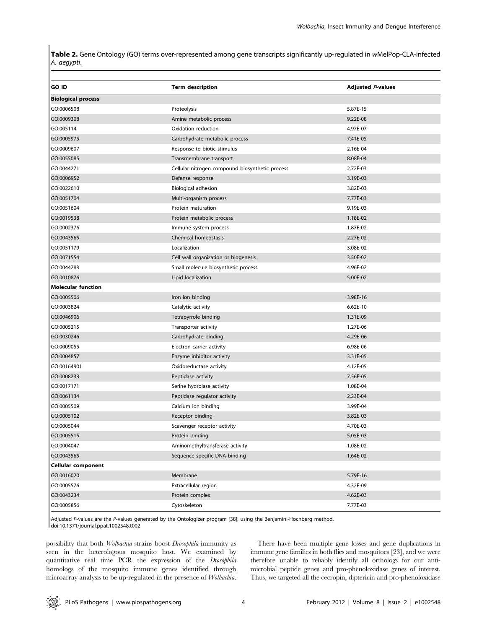Table 2. Gene Ontology (GO) terms over-represented among gene transcripts significantly up-regulated in wMelPop-CLA-infected A. aegypti.

| GO ID                     | <b>Term description</b>                         | Adjusted P-values |
|---------------------------|-------------------------------------------------|-------------------|
| <b>Biological process</b> |                                                 |                   |
| GO:0006508                | Proteolysis                                     | 5.87E-15          |
| GO:0009308                | Amine metabolic process                         | 9.22E-08          |
| GO:005114                 | Oxidation reduction                             | 4.97E-07          |
| GO:0005975                | Carbohydrate metabolic process                  | 7.41E-05          |
| GO:0009607                | Response to biotic stimulus                     | 2.16E-04          |
| GO:0055085                | Transmembrane transport                         | 8.08E-04          |
| GO:0044271                | Cellular nitrogen compound biosynthetic process | 2.72E-03          |
| GO:0006952                | Defense response                                | 3.19E-03          |
| GO:0022610                | Biological adhesion                             | 3.82E-03          |
| GO:0051704                | Multi-organism process                          | 7.77E-03          |
| GO:0051604                | Protein maturation                              | 9.19E-03          |
| GO:0019538                | Protein metabolic process                       | 1.18E-02          |
| GO:0002376                | Immune system process                           | 1.87E-02          |
| GO:0043565                | Chemical homeostasis                            | 2.27E-02          |
| GO:0051179                | Localization                                    | 3.08E-02          |
| GO:0071554                | Cell wall organization or biogenesis            | 3.50E-02          |
| GO:0044283                | Small molecule biosynthetic process             | 4.96E-02          |
| GO:0010876                | Lipid localization                              | 5.00E-02          |
| <b>Molecular function</b> |                                                 |                   |
| GO:0005506                | Iron ion binding                                | 3.98E-16          |
| GO:0003824                | Catalytic activity                              | 6.62E-10          |
| GO:0046906                | Tetrapyrrole binding                            | 1.31E-09          |
| GO:0005215                | Transporter activity                            | 1.27E-06          |
| GO:0030246                | Carbohydrate binding                            | 4.29E-06          |
| GO:0009055                | Electron carrier activity                       | 6.98E-06          |
| GO:0004857                | Enzyme inhibitor activity                       | 3.31E-05          |
| GO:00164901               | Oxidoreductase activity                         | 4.12E-05          |
| GO:0008233                | Peptidase activity                              | 7.56E-05          |
| GO:0017171                | Serine hydrolase activity                       | 1.08E-04          |
| GO:0061134                | Peptidase regulator activity                    | 2.23E-04          |
| GO:0005509                | Calcium ion binding                             | 3.99E-04          |
| GO:0005102                | Receptor binding                                | 3.82E-03          |
| GO:0005044                | Scavenger receptor activity                     | 4.70E-03          |
| GO:0005515                | Protein binding                                 | 5.05E-03          |
| GO:0004047                | Aminomethyltransferase activity                 | 1.08E-02          |
| GO:0043565                | Sequence-specific DNA binding                   | 1.64E-02          |
| Cellular component        |                                                 |                   |
| GO:0016020                | Membrane                                        | 5.79E-16          |
| GO:0005576                | Extracellular region                            | 4.32E-09          |
| GO:0043234                | Protein complex                                 | 4.62E-03          |
| GO:0005856                | Cytoskeleton                                    | 7.77E-03          |

Adjusted P-values are the P-values generated by the Ontologizer program [38], using the Benjamini-Hochberg method. doi:10.1371/journal.ppat.1002548.t002

possibility that both Wolbachia strains boost Drosophila immunity as seen in the heterologous mosquito host. We examined by quantitative real time PCR the expression of the Drosophila homologs of the mosquito immune genes identified through microarray analysis to be up-regulated in the presence of Wolbachia.

There have been multiple gene losses and gene duplications in immune gene families in both flies and mosquitoes [23], and we were therefore unable to reliably identify all orthologs for our antimicrobial peptide genes and pro-phenoloxidase genes of interest. Thus, we targeted all the cecropin, diptericin and pro-phenoloxidase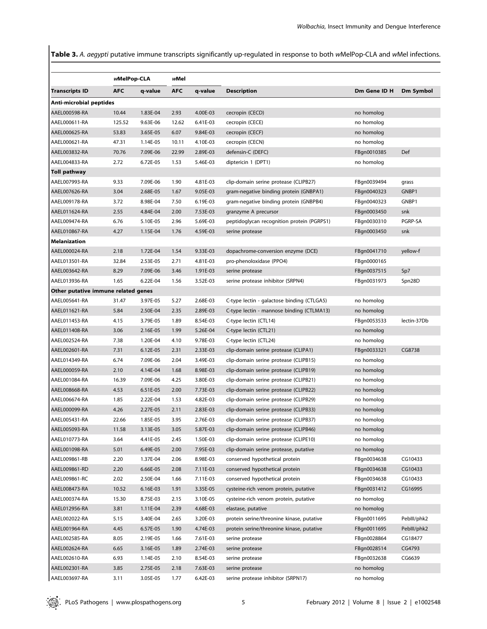Table 3. A. aegypti putative immune transcripts significantly up-regulated in response to both wMelPop-CLA and wMel infections.

|                                     | wMelPop-CLA |          | wMel       |          |                                            |              |             |
|-------------------------------------|-------------|----------|------------|----------|--------------------------------------------|--------------|-------------|
| <b>Transcripts ID</b>               | <b>AFC</b>  | q-value  | <b>AFC</b> | q-value  | <b>Description</b>                         | Dm Gene ID H | Dm Symbol   |
| Anti-microbial peptides             |             |          |            |          |                                            |              |             |
| AAEL000598-RA                       | 10.44       | 1.83E-04 | 2.93       | 4.00E-03 | cecropin (CECD)                            | no homolog   |             |
| AAEL000611-RA                       | 125.52      | 9.63E-06 | 12.62      | 6.41E-03 | cecropin (CECE)                            | no homolog   |             |
| AAEL000625-RA                       | 53.83       | 3.65E-05 | 6.07       | 9.84E-03 | cecropin (CECF)                            | no homolog   |             |
| AAEL000621-RA                       | 47.31       | 1.14E-05 | 10.11      | 4.10E-03 | cecropin (CECN)                            | no homolog   |             |
| AAEL003832-RA                       | 70.76       | 7.09E-06 | 22.99      | 2.89E-03 | defensin-C (DEFC)                          | FBgn0010385  | Def         |
| AAEL004833-RA                       | 2.72        | 6.72E-05 | 1.53       | 5.46E-03 | diptericin 1 (DPT1)                        | no homolog   |             |
| Toll pathway                        |             |          |            |          |                                            |              |             |
| AAEL007993-RA                       | 9.33        | 7.09E-06 | 1.90       | 4.81E-03 | clip-domain serine protease (CLIPB27)      | FBgn0039494  | grass       |
| AAEL007626-RA                       | 3.04        | 2.68E-05 | 1.67       | 9.05E-03 | gram-negative binding protein (GNBPA1)     | FBgn0040323  | GNBP1       |
| AAEL009178-RA                       | 3.72        | 8.98E-04 | 7.50       | 6.19E-03 | gram-negative binding protein (GNBPB4)     | FBgn0040323  | GNBP1       |
| AAEL011624-RA                       | 2.55        | 4.84E-04 | 2.00       | 7.53E-03 | granzyme A precursor                       | FBgn0003450  | snk         |
| AAEL009474-RA                       | 6.76        | 5.10E-05 | 2.96       | 5.69E-03 | peptidoglycan recognition protein (PGRPS1) | FBgn0030310  | PGRP-SA     |
| AAEL010867-RA                       | 4.27        | 1.15E-04 | 1.76       | 4.59E-03 | serine protease                            | FBgn0003450  | snk         |
| Melanization                        |             |          |            |          |                                            |              |             |
| AAEL000024-RA                       | 2.18        | 1.72E-04 | 1.54       | 9.33E-03 | dopachrome-conversion enzyme (DCE)         | FBgn0041710  | yellow-f    |
| AAEL013501-RA                       | 32.84       | 2.53E-05 | 2.71       | 4.81E-03 | pro-phenoloxidase (PPO4)                   | FBgn0000165  |             |
| AAEL003642-RA                       | 8.29        | 7.09E-06 | 3.46       | 1.91E-03 | serine protease                            | FBgn0037515  | Sp7         |
| AAEL013936-RA                       | 1.65        | 6.22E-04 | 1.56       | 3.52E-03 | serine protease inhibitor (SRPN4)          | FBgn0031973  | Spn28D      |
| Other putative immune related genes |             |          |            |          |                                            |              |             |
| AAEL005641-RA                       | 31.47       | 3.97E-05 | 5.27       | 2.68E-03 | C-type lectin - galactose binding (CTLGA5) | no homolog   |             |
| AAEL011621-RA                       | 5.84        | 2.50E-04 | 2.35       | 2.89E-03 | C-type lectin - mannose binding (CTLMA13)  | no homolog   |             |
| AAEL011453-RA                       | 4.15        | 3.79E-05 | 1.89       | 8.54E-03 | C-type lectin (CTL14)                      | FBgn0053533  | lectin-37Db |
| AAEL011408-RA                       | 3.06        | 2.16E-05 | 1.99       | 5.26E-04 | C-type lectin (CTL21)                      | no homolog   |             |
| AAEL002524-RA                       | 7.38        | 1.20E-04 | 4.10       | 9.78E-03 | C-type lectin (CTL24)                      | no homolog   |             |
| AAEL002601-RA                       | 7.31        | 6.12E-05 | 2.31       | 2.33E-03 | clip-domain serine protease (CLIPA1)       | FBgn0033321  | CG8738      |
| AAEL014349-RA                       | 6.74        | 7.09E-06 | 2.04       | 3.49E-03 | clip-domain serine protease (CLIPB15)      | no homolog   |             |
| AAEL000059-RA                       | 2.10        | 4.14E-04 | 1.68       | 8.98E-03 | clip-domain serine protease (CLIPB19)      | no homolog   |             |
| AAEL001084-RA                       | 16.39       | 7.09E-06 | 4.25       | 3.80E-03 | clip-domain serine protease (CLIPB21)      | no homolog   |             |
| AAEL008668-RA                       | 4.53        | 6.51E-05 | 2.00       | 7.73E-03 | clip-domain serine protease (CLIPB22)      | no homolog   |             |
| AAEL006674-RA                       | 1.85        | 2.22E-04 | 1.53       | 4.82E-03 | clip-domain serine protease (CLIPB29)      | no homolog   |             |
| AAEL000099-RA                       | 4.26        | 2.27E-05 | 2.11       | 2.83E-03 | clip-domain serine protease (CLIPB33)      | no homolog   |             |
| AAEL005431-RA                       | 22.66       | 1.85E-05 | 3.95       | 2.76E-03 | clip-domain serine protease (CLIPB37)      | no homolog   |             |
| AAEL005093-RA                       | 11.58       | 3.13E-05 | 3.05       | 5.87E-03 | clip-domain serine protease (CLIPB46)      | no homolog   |             |
| AAEL010773-RA                       | 3.64        | 4.41E-05 | 2.45       | 1.50E-03 | clip-domain serine protease (CLIPE10)      | no homolog   |             |
| AAEL001098-RA                       | 5.01        | 6.49E-05 | 2.00       | 7.95E-03 | clip-domain serine protease, putative      | no homolog   |             |
| AAEL009861-RB                       | 2.20        | 1.37E-04 | 2.06       | 8.98E-03 | conserved hypothetical protein             | FBgn0034638  | CG10433     |
| AAEL009861-RD                       | 2.20        | 6.66E-05 | 2.08       | 7.11E-03 | conserved hypothetical protein             | FBgn0034638  | CG10433     |
| AAEL009861-RC                       | 2.02        | 2.50E-04 | 1.66       | 7.11E-03 | conserved hypothetical protein             | FBgn0034638  | CG10433     |
| AAEL008473-RA                       | 10.52       | 6.16E-03 | 1.91       | 3.35E-05 | cysteine-rich venom protein, putative      | FBgn0031412  | CG16995     |
| AAEL000374-RA                       | 15.30       | 8.75E-03 | 2.15       | 3.10E-05 | cysteine-rich venom protein, putative      | no homolog   |             |
| AAEL012956-RA                       | 3.81        | 1.11E-04 | 2.39       | 4.68E-03 | elastase, putative                         | no homolog   |             |
| AAEL002022-RA                       | 5.15        | 3.40E-04 | 2.65       | 3.20E-03 | protein serine/threonine kinase, putative  | FBgn0011695  | Peblll/phk2 |
| AAEL001964-RA                       | 4.45        | 6.57E-05 | 1.90       | 4.74E-03 | protein serine/threonine kinase, putative  | FBgn0011695  | Peblll/phk2 |
| AAEL002585-RA                       | 8.05        | 2.19E-05 | 1.66       | 7.61E-03 | serine protease                            | FBgn0028864  | CG18477     |
| AAEL002624-RA                       | 6.65        | 3.16E-05 | 1.89       | 2.74E-03 | serine protease                            | FBgn0028514  | CG4793      |
| AAEL002610-RA                       | 6.93        | 1.14E-05 | 2.10       | 8.54E-03 | serine protease                            | FBgn0032638  | CG6639      |
| AAEL002301-RA                       | 3.85        | 2.75E-05 | 2.18       | 7.63E-03 | serine protease                            | no homolog   |             |
| AAEL003697-RA                       | 3.11        | 3.05E-05 | 1.77       | 6.42E-03 | serine protease inhibitor (SRPN17)         | no homolog   |             |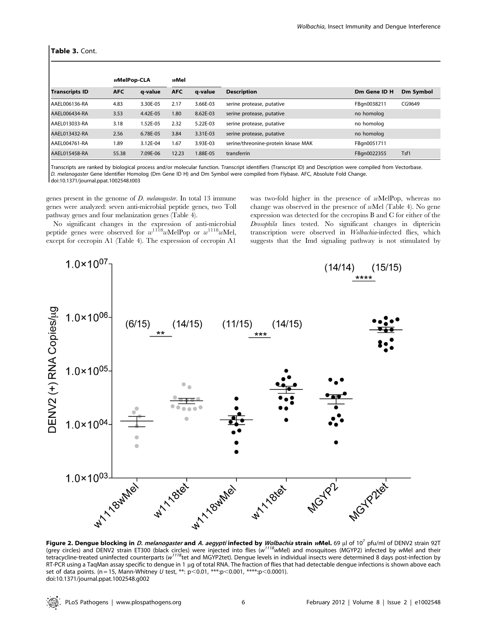### Table 3. Cont.

|                       | wMelPop-CLA |          | wMel       |          |                                     |              |           |
|-----------------------|-------------|----------|------------|----------|-------------------------------------|--------------|-----------|
| <b>Transcripts ID</b> | <b>AFC</b>  | a-value  | <b>AFC</b> | a-value  | <b>Description</b>                  | Dm Gene ID H | Dm Symbol |
| AAEL006136-RA         | 4.83        | 3.30E-05 | 2.17       | 3.66E-03 | serine protease, putative           | FBqn0038211  | CG9649    |
| AAEL006434-RA         | 3.53        | 4.42E-05 | 1.80       | 8.62E-03 | serine protease, putative           | no homolog   |           |
| AAEL013033-RA         | 3.18        | 1.52E-05 | 2.32       | 5.22E-03 | serine protease, putative           | no homolog   |           |
| AAEL013432-RA         | 2.56        | 6.78E-05 | 3.84       | 3.31E-03 | serine protease, putative           | no homolog   |           |
| AAEL004761-RA         | 89.١        | 3.12E-04 | 1.67       | 3.93E-03 | serine/threonine-protein kinase MAK | FBgn0051711  |           |
| AAEL015458-RA         | 55.38       | 7.09E-06 | 12.23      | 1.88E-05 | transferrin                         | FBgn0022355  | Tsf1      |

Transcripts are ranked by biological process and/or molecular function. Transcript identifiers (Transcript ID) and Description were compiled from Vectorbase. D. melanogaster Gene Identifier Homolog (Dm Gene ID H) and Dm Symbol were compiled from Flybase. AFC, Absolute Fold Change. doi:10.1371/journal.ppat.1002548.t003

genes present in the genome of D. melanogaster. In total 13 immune genes were analyzed: seven anti-microbial peptide genes, two Toll pathway genes and four melanization genes (Table 4).

No significant changes in the expression of anti-microbial peptide genes were observed for  $w^{1118}w$ MelPop or  $w^{1118}w$ Mel, except for cecropin A1 (Table 4). The expression of cecropin A1 was two-fold higher in the presence of wMelPop, whereas no change was observed in the presence of  $w$ Mel (Table 4). No gene expression was detected for the cecropins B and C for either of the Drosophila lines tested. No significant changes in diptericin transcription were observed in Wolbachia-infected flies, which suggests that the Imd signaling pathway is not stimulated by



Figure 2. Dengue blocking in *D. melanogaster* and A. aegypti infected by Wolbachia strain wMel. 69 ul of 10<sup>7</sup> pfu/ml of DENV2 strain 92T (grey circles) and DENV2 strain ET300 (black circles) were injected into flies (w<sup>1118</sup>wMel) and mosquitoes (MGYP2) infected by wMel and their tetracycline-treated uninfected counterparts (w<sup>1118</sup>tet and MGYP2tet). Dengue levels in individual insects were determined 8 days post-infection by RT-PCR using a TaqMan assay specific to dengue in 1 µg of total RNA. The fraction of flies that had detectable dengue infections is shown above each set of data points. (n = 15, Mann-Whitney U test, \*\*: p<0.01, \*\*\*\*:p<0.001, \*\*\*\*:p<0.0001). doi:10.1371/journal.ppat.1002548.g002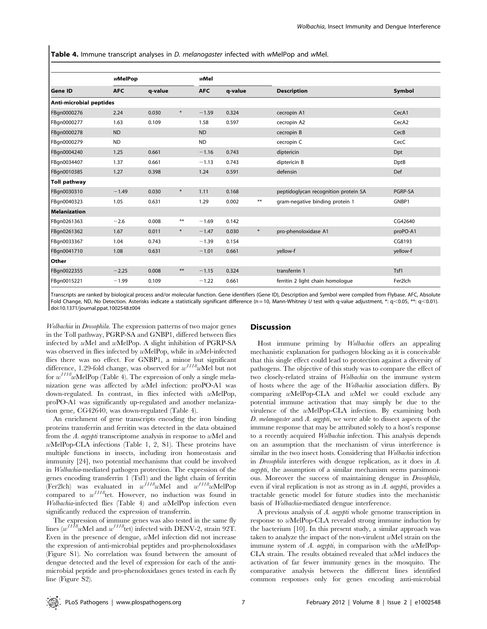Table 4. Immune transcript analyses in D. melanogaster infected with wMelPop and wMel.

|                                | <b><i>w</i>MelPop</b> |         |        | wMel       |         |            |                                      |                   |
|--------------------------------|-----------------------|---------|--------|------------|---------|------------|--------------------------------------|-------------------|
| <b>Gene ID</b>                 | <b>AFC</b>            | q-value |        | <b>AFC</b> | q-value |            | <b>Description</b>                   | Symbol            |
| <b>Anti-microbial peptides</b> |                       |         |        |            |         |            |                                      |                   |
| FBgn0000276                    | 2.24                  | 0.030   | $\ast$ | $-1.59$    | 0.324   |            | cecropin A1                          | CecA1             |
| FBqn0000277                    | 1.63                  | 0.109   |        | 1.58       | 0.597   |            | cecropin A2                          | CecA <sub>2</sub> |
| FBgn0000278                    | <b>ND</b>             |         |        | <b>ND</b>  |         |            | cecropin B                           | CecB              |
| FBqn0000279                    | <b>ND</b>             |         |        | <b>ND</b>  |         |            | cecropin C                           | CecC              |
| FBqn0004240                    | 1.25                  | 0.661   |        | $-1.16$    | 0.743   |            | diptericin                           | Dpt               |
| FBgn0034407                    | 1.37                  | 0.661   |        | $-1.13$    | 0.743   |            | diptericin B                         | <b>DptB</b>       |
| FBgn0010385                    | 1.27                  | 0.398   |        | 1.24       | 0.591   |            | defensin                             | Def               |
| <b>Toll pathway</b>            |                       |         |        |            |         |            |                                      |                   |
| FBqn0030310                    | $-1.49$               | 0.030   | $\ast$ | 1.11       | 0.168   |            | peptidoglycan recognition protein SA | PGRP-SA           |
| FBgn0040323                    | 1.05                  | 0.631   |        | 1.29       | 0.002   | $\ast\ast$ | gram-negative binding protein 1      | GNBP1             |
| <b>Melanization</b>            |                       |         |        |            |         |            |                                      |                   |
| FBgn0261363                    | $-2.6$                | 0.008   | $***$  | $-1.69$    | 0.142   |            |                                      | CG42640           |
| FBgn0261362                    | 1.67                  | 0.011   | $\ast$ | $-1.47$    | 0.030   | $\ast$     | pro-phenoloxidase A1                 | proPO-A1          |
| FBqn0033367                    | 1.04                  | 0.743   |        | $-1.39$    | 0.154   |            |                                      | CG8193            |
| FBgn0041710                    | 1.08                  | 0.631   |        | $-1.01$    | 0.661   |            | yellow-f                             | yellow-f          |
| Other                          |                       |         |        |            |         |            |                                      |                   |
| FBgn0022355                    | $-2.25$               | 0.008   | $***$  | $-1.15$    | 0.324   |            | transferrin 1                        | Tsf1              |
| FBgn0015221                    | $-1.99$               | 0.109   |        | $-1.22$    | 0.661   |            | ferritin 2 light chain homologue     | Fer2lch           |

Transcripts are ranked by biological process and/or molecular function. Gene identifiers (Gene ID), Description and Symbol were compiled from Flybase. AFC, Absolute Fold Change, ND, No Detection. Asterisks indicate a statistically significant difference (n = 10, Mann-Whitney U test with q-value adjustment, \*: q<0.05, \*\*: q<0.01). doi:10.1371/journal.ppat.1002548.t004

Wolbachia in Drosophila. The expression patterns of two major genes in the Toll pathway, PGRP-SA and GNBP1, differed between flies infected by wMel and wMelPop. A slight inhibition of PGRP-SA was observed in flies infected by wMelPop, while in wMel-infected flies there was no effect. For GNBP1, a minor but significant difference, 1.29-fold change, was observed for  $w^{1118}$  wMel but not for  $w^{1118}$ wMelPop (Table 4). The expression of only a single melanization gene was affected by wMel infection: proPO-A1 was down-regulated. In contrast, in flies infected with wMelPop, proPO-A1 was significantly up-regulated and another melanization gene, CG42640, was down-regulated (Table 4).

An enrichment of gene transcripts encoding the iron binding proteins transferrin and ferritin was detected in the data obtained from the A. aegypti transcriptome analysis in response to wMel and wMelPop-CLA infections (Table 1, 2, S1). These proteins have multiple functions in insects, including iron homeostasis and immunity [24], two potential mechanisms that could be involved in Wolbachia-mediated pathogen protection. The expression of the genes encoding transferrin 1 (Tsf1) and the light chain of ferritin (Fer2lch) was evaluated in  $w^{1118}w$ Mel and  $w^{1118}w$ MelPop compared to  $w^{1118}$ tet. However, no induction was found in Wolbachia-infected flies (Table 4) and wMelPop infection even significantly reduced the expression of transferrin.

The expression of immune genes was also tested in the same fly lines ( $w^{1118}$ wMel and  $w^{1118}$ tet) infected with DENV-2, strain 92T. Even in the presence of dengue, wMel infection did not increase the expression of anti-microbial peptides and pro-phenoloxidases (Figure S1). No correlation was found between the amount of dengue detected and the level of expression for each of the antimicrobial peptide and pro-phenoloxidases genes tested in each fly line (Figure S2).

## **Discussion**

Host immune priming by Wolbachia offers an appealing mechanistic explanation for pathogen blocking as it is conceivable that this single effect could lead to protection against a diversity of pathogens. The objective of this study was to compare the effect of two closely-related strains of Wolbachia on the immune system of hosts where the age of the Wolbachia association differs. By comparing wMelPop-CLA and wMel we could exclude any potential immune activation that may simply be due to the virulence of the wMelPop-CLA infection. By examining both D. melanogaster and A. aegypti, we were able to dissect aspects of the immune response that may be attributed solely to a host's response to a recently acquired Wolbachia infection. This analysis depends on an assumption that the mechanism of virus interference is similar in the two insect hosts. Considering that *Wolbachia* infection in Drosophila interferes with dengue replication, as it does in A. aegypti, the assumption of a similar mechanism seems parsimonious. Moreover the success of maintaining dengue in Drosophila, even if viral replication is not as strong as in A. aegypti, provides a tractable genetic model for future studies into the mechanistic basis of Wolbachia-mediated dengue interference.

A previous analysis of A. aegypti whole genome transcription in response to wMelPop-CLA revealed strong immune induction by the bacterium [10]. In this present study, a similar approach was taken to analyze the impact of the non-virulent wMel strain on the immune system of  $A$ . aegypti, in comparison with the wMelPop-CLA strain. The results obtained revealed that wMel induces the activation of far fewer immunity genes in the mosquito. The comparative analysis between the different lines identified common responses only for genes encoding anti-microbial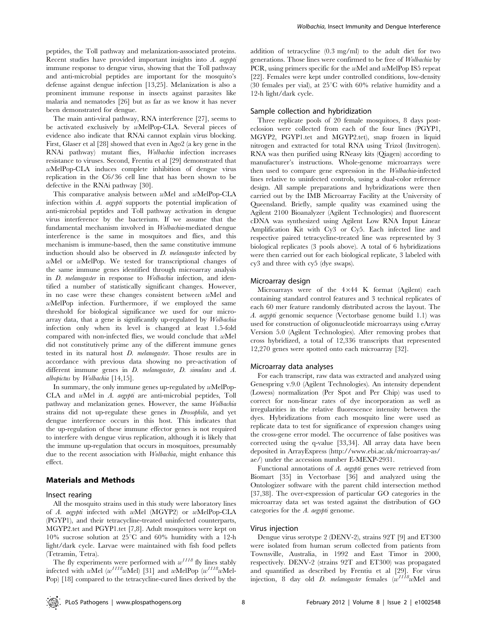peptides, the Toll pathway and melanization-associated proteins. Recent studies have provided important insights into A. aegypti immune response to dengue virus, showing that the Toll pathway and anti-microbial peptides are important for the mosquito's defense against dengue infection [13,25]. Melanization is also a prominent immune response in insects against parasites like malaria and nematodes [26] but as far as we know it has never been demonstrated for dengue.

The main anti-viral pathway, RNA interference [27], seems to be activated exclusively by wMelPop-CLA. Several pieces of evidence also indicate that RNAi cannot explain virus blocking. First, Glaser et al [28] showed that even in Ago2 (a key gene in the RNAi pathway) mutant flies, Wolbachia infection increases resistance to viruses. Second, Frentiu et al [29] demonstrated that wMelPop-CLA induces complete inhibition of dengue virus replication in the C6/36 cell line that has been shown to be defective in the RNAi pathway [30].

This comparative analysis between wMel and wMelPop-CLA infection within A. aegypti supports the potential implication of anti-microbial peptides and Toll pathway activation in dengue virus interference by the bacterium. If we assume that the fundamental mechanism involved in Wolbachia-mediated dengue interference is the same in mosquitoes and flies, and this mechanism is immune-based, then the same constitutive immune induction should also be observed in  $D$ . *melanogaster* infected by wMel or wMelPop. We tested for transcriptional changes of the same immune genes identified through microarray analysis in *D. melanogaster* in response to *Wolbachia* infection, and identified a number of statistically significant changes. However, in no case were these changes consistent between wMel and wMelPop infection. Furthermore, if we employed the same threshold for biological significance we used for our microarray data, that a gene is significantly up-regulated by Wolbachia infection only when its level is changed at least 1.5-fold compared with non-infected flies, we would conclude that wMel did not constitutively prime any of the different immune genes tested in its natural host D. melanogaster. Those results are in accordance with previous data showing no pre-activation of different immune genes in D. melanogaster, D. simulans and A. albopictus by Wolbachia [14,15].

In summary, the only immune genes up-regulated by wMelPop-CLA and wMel in A. aegypti are anti-microbial peptides, Toll pathway and melanization genes. However, the same Wolbachia strains did not up-regulate these genes in Drosophila, and yet dengue interference occurs in this host. This indicates that the up-regulation of these immune effector genes is not required to interfere with dengue virus replication, although it is likely that the immune up-regulation that occurs in mosquitoes, presumably due to the recent association with Wolbachia, might enhance this effect.

## Materials and Methods

#### Insect rearing

All the mosquito strains used in this study were laboratory lines of A. aegypti infected with wMel (MGYP2) or wMelPop-CLA (PGYP1), and their tetracycline-treated uninfected counterparts, MGYP2.tet and PGYP1.tet [7,8]. Adult mosquitoes were kept on  $10\%$  sucrose solution at  $25^{\circ}$ C and  $60\%$  humidity with a 12-h light/dark cycle. Larvae were maintained with fish food pellets (Tetramin, Tetra).

The fly experiments were performed with  $w^{1118}$  fly lines stably infected with wMel  $(w^{1118}w$ Mel) [31] and wMelPop  $(w^{1118}w$ Mel-Pop) [18] compared to the tetracycline-cured lines derived by the addition of tetracycline (0.3 mg/ml) to the adult diet for two generations. Those lines were confirmed to be free of Wolbachia by PCR, using primers specific for the wMel and wMelPop IS5 repeat [22]. Females were kept under controlled conditions, low-density (30 females per vial), at  $25^{\circ}$ C with 60% relative humidity and a 12-h light/dark cycle.

## Sample collection and hybridization

Three replicate pools of 20 female mosquitoes, 8 days posteclosion were collected from each of the four lines (PGYP1, MGYP2, PGYP1.tet and MGYP2.tet), snap frozen in liquid nitrogen and extracted for total RNA using Trizol (Invitrogen). RNA was then purified using RNeasy kits (Qiagen) according to manufacturer's instructions. Whole-genome microarrays were then used to compare gene expression in the Wolbachia-infected lines relative to uninfected controls, using a dual-color reference design. All sample preparations and hybridizations were then carried out by the IMB Microarray Facility at the University of Queensland. Briefly, sample quality was examined using the Agilent 2100 Bioanalyzer (Agilent Technologies) and fluorescent cDNA was synthesized using Agilent Low RNA Input Linear Amplification Kit with Cy3 or Cy5. Each infected line and respective paired tetracycline-treated line was represented by 3 biological replicates (3 pools above). A total of 6 hybridizations were then carried out for each biological replicate, 3 labeled with cy3 and three with cy5 (dye swaps).

#### Microarray design

Microarrays were of the  $4\times44$  K format (Agilent) each containing standard control features and 3 technical replicates of each 60 mer feature randomly distributed across the layout. The A. aegypti genomic sequence (Vectorbase genome build 1.1) was used for construction of oligonucleotide microarrays using eArray Version 5.0 (Agilent Technologies). After removing probes that cross hybridized, a total of 12,336 transcripts that represented 12,270 genes were spotted onto each microarray [32].

#### Microarray data analyses

For each transcript, raw data was extracted and analyzed using Genespring v.9.0 (Agilent Technologies). An intensity dependent (Lowess) normalization (Per Spot and Per Chip) was used to correct for non-linear rates of dye incorporation as well as irregularities in the relative fluorescence intensity between the dyes. Hybridizations from each mosquito line were used as replicate data to test for significance of expression changes using the cross-gene error model. The occurrence of false positives was corrected using the q-value [33,34]. All array data have been deposited in ArrayExpress (http://www.ebi.ac.uk/microarray-as/ ae/) under the accession number E-MEXP-2931.

Functional annotations of A. aegypti genes were retrieved from Biomart [35] in Vectorbase [36] and analyzed using the Ontologizer software with the parent child intersection method [37,38]. The over-expression of particular GO categories in the microarray data set was tested against the distribution of GO categories for the A. aegypti genome.

## Virus injection

Dengue virus serotype 2 (DENV-2), strains 92T [9] and ET300 were isolated from human serum collected from patients from Townsville, Australia, in 1992 and East Timor in 2000, respectively. DENV-2 (strains 92T and ET300) was propagated and quantified as described by Frentiu et al [29]. For virus injection, 8 day old *D. melanogaster* females  $(w^{1118}w$ Mel and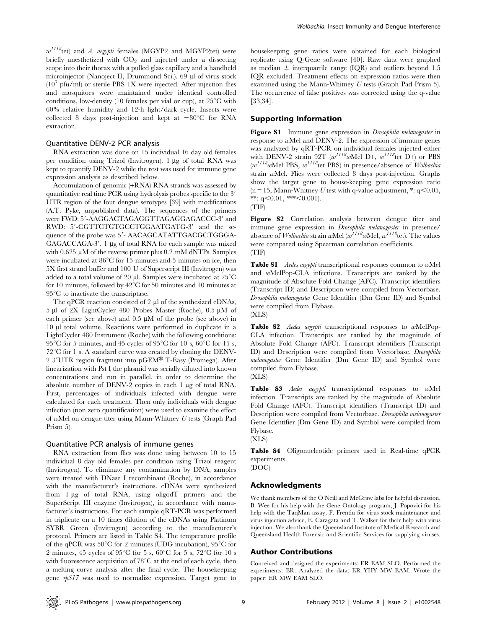$w^{1118}$ tet) and A. aegypti females (MGYP2 and MGYP2tet) were briefly anesthetized with  $CO<sub>2</sub>$  and injected under a dissecting scope into their thorax with a pulled glass capillary and a handheld microinjector (Nanoject II, Drummond Sci.). 69 µl of virus stock  $(10<sup>7</sup>$  pfu/ml) or sterile PBS 1X were injected. After injection flies and mosquitoes were maintained under identical controlled conditions, low-density (10 females per vial or cup), at  $25^{\circ}$ C with 60% relative humidity and 12-h light/dark cycle. Insects were collected 8 days post-injection and kept at  $-80^{\circ}$ C for RNA extraction.

#### Quantitative DENV-2 PCR analysis

RNA extraction was done on 15 individual 16 day old females per condition using Trizol (Invitrogen). 1 µg of total RNA was kept to quantify DENV-2 while the rest was used for immune gene expression analysis as described below.

Accumulation of genomic (+RNA) RNA strands was assessed by quantitative real time PCR using hydrolysis probes specific to the 3' UTR region of the four dengue serotypes [39] with modifications (A.T. Pyke, unpublished data). The sequences of the primers were FWD: 5'-AAGGACTAGAGGTTAGAGGAGACCC-3' and RWD: 5'-CGTTCTGTGCCTGGAATGATG-3' and the sequence of the probe was 5'- AACAGCATATTGACGCTGGGA-GAGACCAGA-3'. 1 µg of total RNA for each sample was mixed with  $0.625 \mu M$  of the reverse primer plus  $0.2 \mu M$  dNTPs. Samples were incubated at  $86^{\circ}$ C for 15 minutes and 5 minutes on ice, then 5X first strand buffer and 100 U of Superscript III (Invitrogen) was added to a total volume of 20  $\mu$ l. Samples were incubated at 25°C for 10 minutes, followed by  $42^{\circ}$ C for 50 minutes and 10 minutes at  $95^{\circ}$ C to inactivate the transcriptase.

The qPCR reaction consisted of 2  $\mu$ l of the synthesized cDNAs, 5 µl of 2X LightCycler 480 Probes Master (Roche), 0.5 µM of each primer (see above) and  $0.5 \mu M$  of the probe (see above) in 10 ml total volume. Reactions were performed in duplicate in a LightCycler 480 Instrument (Roche) with the following conditions: 95<sup>°</sup>C for 5 minutes, and 45 cycles of 95<sup>°</sup>C for 10 s, 60<sup>°</sup>C for 15 s,  $72^{\circ}$ C for 1 s. A standard curve was created by cloning the DENV-2 3'UTR region fragment into pGEM® T-Easy (Promega). After linearization with Pst I the plasmid was serially diluted into known concentrations and run in parallel, in order to determine the absolute number of DENV-2 copies in each 1 µg of total RNA. First, percentages of individuals infected with dengue were calculated for each treatment. Then only individuals with dengue infection (non zero quantification) were used to examine the effect of wMel on dengue titer using Mann-Whitney U tests (Graph Pad Prism 5).

#### Quantitative PCR analysis of immune genes

RNA extraction from flies was done using between 10 to 15 individual 8 day old females per condition using Trizol reagent (Invitrogen). To eliminate any contamination by DNA, samples were treated with DNase I recombinant (Roche), in accordance with the manufacturer's instructions. cDNAs were synthesized from 1 mg of total RNA, using oligodT primers and the SuperScript III enzyme (Invitrogen), in accordance with manufacturer's instructions. For each sample qRT-PCR was performed in triplicate on a 10 times dilution of the cDNAs using Platinum SYBR Green (Invitrogen) according to the manufacturer's protocol. Primers are listed in Table S4. The temperature profile of the qPCR was  $50^{\circ}$ C for 2 minutes (UDG incubation),  $95^{\circ}$ C for 2 minutes, 45 cycles of 95 $\degree$ C for 5 s, 60 $\degree$ C for 5 s, 72 $\degree$ C for 10 s with fluorescence acquisition of  $78^{\circ}$ C at the end of each cycle, then a melting curve analysis after the final cycle. The housekeeping gene  $r\beta$ S17 was used to normalize expression. Target gene to

housekeeping gene ratios were obtained for each biological replicate using Q-Gene software [40]. Raw data were graphed as median  $\pm$  interquartile range (IQR) and outliers beyond 1.5 IQR excluded. Treatment effects on expression ratios were then examined using the Mann-Whitney U tests (Graph Pad Prism 5). The occurrence of false positives was corrected using the q-value [33,34].

#### Supporting Information

Figure S1 Immune gene expression in *Drosophila melanogaster* in response to wMel and DENV-2. The expression of immune genes was analyzed by qRT-PCR on individual females injected either with DENV-2 strain 92T ( $w^{1118}$ wMel D+,  $w^{1118}$ tet D+) or PBS  $(w^{1118}w$ Mel PBS,  $w^{1118}$ tet PBS) in presence/absence of *Wolbachia* strain wMel. Flies were collected 8 days post-injection. Graphs show the target gene to house-keeping gene expression ratio  $(n = 15,$  Mann-Whitney U test with q-value adjustment, \*:  $q<0.05$ , \*\*:  $q<0.01$ , \*\*\* $<0.001$ ).

(TIF)

Figure S2 Correlation analysis between dengue titer and immune gene expression in *Drosophila melanogaster* in presence/ absence of *Wolbachia* strain wMel ( $w^{1118}$ wMel,  $w^{1118}$ tet). The values were compared using Spearman correlation coefficients. (TIF)

Table S1 Aedes aegypti transcriptional responses common to wMel and wMelPop-CLA infections. Transcripts are ranked by the magnitude of Absolute Fold Change (AFC). Transcript identifiers (Transcript ID) and Description were compiled from Vectorbase. Drosophila melanogaster Gene Identifier (Dm Gene ID) and Symbol were compiled from Flybase. (XLS)

Table S2 *Aedes aegypti* transcriptional responses to wMelPop-CLA infection. Transcripts are ranked by the magnitude of Absolute Fold Change (AFC). Transcript identifiers (Transcript ID) and Description were compiled from Vectorbase. Drosophila melanogaster Gene Identifier (Dm Gene ID) and Symbol were compiled from Flybase.

(XLS)

Table S3 Aedes aegypti transcriptional responses to wMel infection. Transcripts are ranked by the magnitude of Absolute Fold Change (AFC). Transcript identifiers (Transcript ID) and Description were compiled from Vectorbase. Drosophila melanogaster Gene Identifier (Dm Gene ID) and Symbol were compiled from Flybase.

Table S4 Oligonucleotide primers used in Real-time qPCR experiments.

## (DOC)

## Acknowledgments

We thank members of the O'Neill and McGraw labs for helpful discussion, B. Wee for his help with the Gene Ontology program, J. Popovici for his help with the TaqMan assay, F. Frentiu for virus stock maintenance and virus injection advice, E. Caragata and T. Walker for their help with virus injection. We also thank the Queensland Institute of Medical Research and Queensland Health Forensic and Scientific Services for supplying viruses.

## Author Contributions

Conceived and designed the experiments: ER EAM SLO. Performed the experiments: ER. Analyzed the data: ER YHY MW EAM. Wrote the paper: ER MW EAM SLO.

<sup>(</sup>XLS)